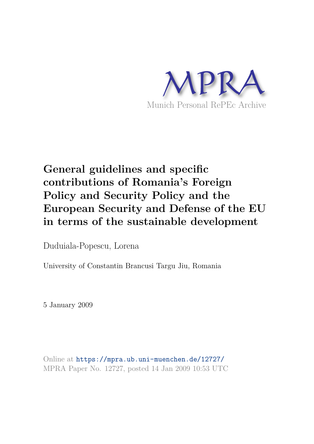

## **General guidelines and specific contributions of Romania's Foreign Policy and Security Policy and the European Security and Defense of the EU in terms of the sustainable development**

Duduiala-Popescu, Lorena

University of Constantin Brancusi Targu Jiu, Romania

5 January 2009

Online at https://mpra.ub.uni-muenchen.de/12727/ MPRA Paper No. 12727, posted 14 Jan 2009 10:53 UTC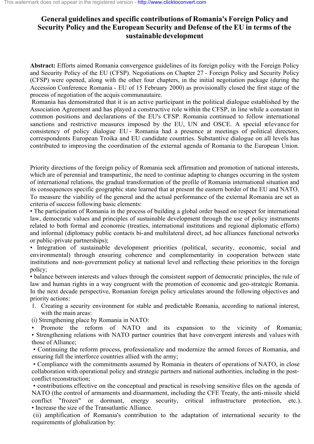## **General guidelines and specific contributions of Romania's Foreign Policy and Security Policy and the European Security and Defense of the EU in terms of the sustainable development**

**Abstract:** Efforts aimed Romania convergence guidelines of its foreign policy with the Foreign Policy and Security Policy of the EU (CFSP). Negotiations on Chapter 27 - Foreign Policy and Security Policy (CFSP) were opened, along with the other four chapters, in the initial negotiation package (during the Accession Conference Romania - EU of 15 February 2000) as provisionally closed the first stage of the process of negotiation of the acquis communautaire.

Romania has demonstrated that it is an active participant in the political dialogue established by the Association Agreement and has played a constructive role within the CFSP, in line while a constant in common positions and declarations of the EU's CFSP. Romania continued to follow international sanctions and restrictive measures imposed by the EU, UN and OSCE. A special relevance for consistency of policy dialogue EU - Romania had a presence at meetings of political directors, correspondents European Troika and EU candidate countries. Substantive dialogue on all levels has contributed to improving the coordination of the external agenda of Romania to the European Union.

Priority directions of the foreign policy of Romania seek affirmation and promotion of national interests, which are of perennial and transpartinic, the need to continue adapting to changes occurring in the system of international relations, the gradual transformation of the profile of Romania international situation and its consequences specific geographic state learned that at present the eastern border of the EU and NATO. To measure the viability of the general and the actual performance of the external Romania are set as criteria of success following basic elements:

• The participation of Romania in the process of building a global order based on respect for international law, democratic values and principles of sustainable development through the use of policy instruments related to both formal and economic (treaties, international institutions and regional diplomatic efforts) and informal (diplomacy public contacts bi-and multilateral direct, ad hoc alliances functional networks or public-private partnerships);

• Integration of sustainable development priorities (political, security, economic, social and environmental) through ensuring coherence and complementarity in cooperation between state institutions and non-government policy at national level and reflecting these priorities in the foreign policy;

• balance between interests and values through the consistent support of democratic principles, the rule of law and human rights in a way congruent with the promotion of economic and geo-strategic Romania. In the next decade perspective, Romanian foreign policy articulates around the following objectives and priority actions:

1. Creating a security environment for stable and predictable Romania, according to national interest, with the main areas:

(i) Strengthening place by Romania in NATO:

Promote the reform of NATO and its expansion to the vicinity of Romania; ï Strengthening relations with NATO partner countries that have convergent interests and values with those of Alliance;

• Continuing the reform process, professionalize and modernize the armed forces of Romania, and ensuring full the interforce countries allied with the army;

• Compliance with the commitments assumed by Romania in theaters of operations of NATO, in close collaboration with operational policy and strategic partners and national authorities, including in the postconflict reconstruction;

• contributions effective on the conceptual and practical in resolving sensitive files on the agenda of NATO (the control of armaments and disarmament, including the CFE Treaty, the anti-missile shield conflict "frozen" or dormant, energy security, critical infrastructure protection, etc.). • Increase the size of the Transatlantic Alliance.

(ii) amplification of Romania's contribution to the adaptation of international security to the requirements of globalization by: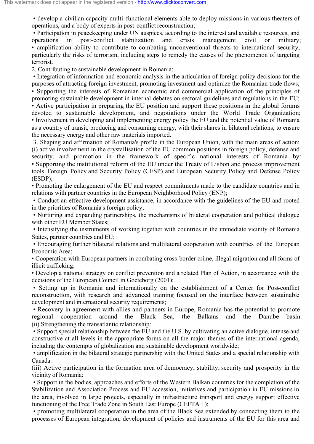• develop a civilian capacity multi-functional elements able to deploy missions in various theaters of operations, and a body of experts in post-conflict reconstruction;

• Participation in peacekeeping under UN auspices, according to the interest and available resources, and operations in post-conflict stabilization and crisis management civil or military; • amplification ability to contribute to combating unconventional threats to international security, particularly the risks of terrorism, including steps to remedy the causes of the phenomenon of targeting terrorist.

2. Contributing to sustainable development in Romania:

• Integration of information and economic analysis in the articulation of foreign policy decisions for the purposes of attracting foreign investment, promoting investment and optimize the Romanian trade flows; • Supporting the interests of Romanian economic and commercial application of the principles of promoting sustainable development in internal debates on sectoral guidelines and regulations in the EU; • Active participation in preparing the EU position and support these positions in the global forums devoted to sustainable development, and negotiations under the World Trade Organization; • Involvement in developing and implementing energy policy the EU and the potential value of Romania as a country of transit, producing and consuming energy, with their shares in bilateral relations, to ensure the necessary energy and other raw materials imported.

3. Shaping and affirmation of Romania's profile in the European Union, with the main areas of action: (i) active involvement in the crystallisation of the EU common positions in foreign policy, defense and security, and promotion in the framework of specific national interests of Romania by: • Supporting the institutional reform of the EU under the Treaty of Lisbon and process improvement tools Foreign Policy and Security Policy (CFSP) and European Security Policy and Defense Policy (ESDP);

• Promoting the enlargement of the EU and respect commitments made to the candidate countries and in relations with partner countries in the European Neighborhood Policy (ENP);

• Conduct an effective development assistance, in accordance with the guidelines of the EU and rooted in the priorities of Romania's foreign policy;

• Nurturing and expanding partnerships, the mechanisms of bilateral cooperation and political dialogue with other EU Member States;

• Intensifying the instruments of working together with countries in the immediate vicinity of Romania States, partner countries and EU;

• Encouraging further bilateral relations and multilateral cooperation with countries of the European Economic Area;

• Cooperation with European partners in combating cross-border crime, illegal migration and all forms of illicit trafficking;

• Develop a national strategy on conflict prevention and a related Plan of Action, in accordance with the decisions of the European Council in Goeteborg (2001);

• Setting up in Romania and internationally on the establishment of a Center for Post-conflict reconstruction, with research and advanced training focused on the interface between sustainable development and international security requirements;

• Recovery in agreement with allies and partners in Europe, Romania has the potential to promote regional cooperation around the Black Sea, the Balkans and the Danube basin. (ii) Strengthening the transatlantic relationship:

• Support special relationship between the EU and the U.S. by cultivating an active dialogue, intense and constructive at all levels in the appropriate forms on all the major themes of the international agenda, including the contempts of globalization and sustainable development worldwide;

• amplification in the bilateral strategic partnership with the United States and a special relationship with Canada.

(iii) Active participation in the formation area of democracy, stability, security and prosperity in the vicinity of Romania:

ï Support in the bodies, approaches and efforts of the Western Balkan countries for the completion of the Stabilization and Association Process and EU accession, initiatives and participation in EU missions in the area, involved in large projects, especially in infrastructure transport and energy support effective functioning of the Free Trade Zone in South East Europe (CEFTA  $+$ ):

• promoting multilateral cooperation in the area of the Black Sea extended by connecting them to the processes of European integration, development of policies and instruments of the EU for this area and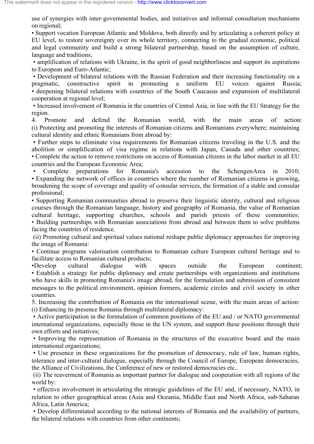use of synergies with inter-governmental bodies, and initiatives and informal consultation mechanisms on regional;

ï Support vocation European Atlantic and Moldova, both directly and by articulating a coherent policy at EU level, to restore sovereignty over its whole territory, connecting to the gradual economic, political and legal community and build a strong bilateral partnership, based on the assumption of culture, language and traditions;

• amplification of relations with Ukraine, in the spirit of good neighborliness and support its aspirations to European and Euro-Atlantic;

• Development of bilateral relations with the Russian Federation and their increasing functionality on a pragmatic, constructive spirit in promoting a uniform EU voices against Russia; • deepening bilateral relations with countries of the South Caucasus and expansion of multilateral cooperation at regional level;

• Increased involvement of Romania in the countries of Central Asia, in line with the EU Strategy for the region.

4. Promote and defend the Romanian world, with the main areas of action: (i) Protecting and promoting the interests of Romanian citizens and Romanians everywhere; maintaining cultural identity and ethnic Romanians from abroad by:

• Further steps to eliminate visa requirements for Romanian citizens traveling in the U.S. and the abolition or simplification of visa regime in relations with Japan, Canada and other countries; ï Complete the action to remove restrictions on access of Romanian citizens in the labor market in all EU countries and the European Economic Area;

Complete preparations for Romania's accession to the Schengen Area in 2010; • Expanding the network of offices in countries where the number of Romanian citizens is growing, broadening the scope of coverage and quality of consular services, the formation of a stable and consular professional;

• Supporting Romanian communities abroad to preserve their linguistic identity, cultural and religious courses through the Romanian language, history and geography of Romania, the value of Romanian cultural heritage, supporting churches, schools and parish priests of these communities; • Building partnerships with Romanian associations from abroad and between them to solve problems facing the countries of residence.

(ii) Promoting cultural and spiritual values national reshape public diplomacy approaches for improving the image of Romania:

• Continue programs valorisation contribution to Romanian culture European cultural heritage and to facilitate access to Romanian cultural products;

ïDevelop cultural dialogue with spaces outside the European continent; • Establish a strategy for public diplomacy and create partnerships with organizations and institutions who have skills in promoting Romania's image abroad, for the formulation and submission of consistent messages to the political environment, opinion formers, academic circles and civil society in other countries.

5. Increasing the contribution of Romania on the international scene, with the main areas of action: (i) Enhancing its presence Romania through multilateral diplomacy:

• Active participation in the formulation of common positions of the EU and / or NATO governmental international organizations, especially those in the UN system, and support these positions through their own efforts and initiatives;

• Improving the representation of Romania in the structures of the executive board and the main international organizations;

• Use presence in these organizations for the promotion of democracy, rule of law, human rights, tolerance and inter-cultural dialogue, especially through the Council of Europe, European democracies, the Alliance of Civilizations, the Conference of new or restored democracies etc..

(ii) The reaverment of Romania as important partner for dialogue and cooperation with all regions of the world by:

• effective involvement in articulating the strategic guidelines of the EU and, if necessary, NATO, in relation to other geographical areas (Asia and Oceania, Middle East and North Africa, sub-Saharan Africa, Latin America;

• Develop differentiated according to the national interests of Romania and the availability of partners, the bilateral relations with countries from other continents;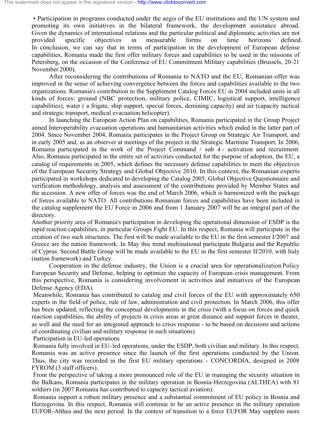• Participation in programs conducted under the aegis of the EU institutions and the UN system and promoting its own initiatives in the bilateral framework, the development assistance abroad. Given the dynamics of international relations and the particular political and diplomatic activities are not provided specific objectives in measurable forms on time horizons defined. In conclusion, we can say that in terms of participation in the development of European defense capabilities, Romania made the first offer military forces and capabilities to be used in the missions of Petersberg, on the occasion of the Conference of EU Commitment Military capabilities (Brussels, 20-21 November 2000).

 After reconsidering the contributions of Romania to NATO and the EU, Romanian offer was improved in the sense of achieving convergence between the forces and capabilities available to the two organizations. Romania's contribution to the Supplement Catalog Forces EU in 2004 included units in all kinds of forces: ground (NBC protection, military police, CIMIC, logistical support, intelligence capabilities), water ( a frigate, ship support, special forces, demining capacity) and air (capacity tactical and strategic transport, medical evacuation helicopter).

 In launching the European Action Plan on capabilities, Romania participated in the Group Project aimed Interoperability evacuation operations and humanitarian activities which ended in the latter part of 2004. Since November 2004, Romania participates in the Project Group on Strategic Air Transport, and in early 2005 and, as an observer at meetings of the project in the Strategic Maritime Transport. In 2006, Romania participated in the work of the Project Command / sub 4 - activation and recruitment. Also, Romania participated in the entire set of activities conducted for the purpose of adoption, the EU, a catalog of requirements in 2005, which defines the necessary defense capabilities to meet the objectives of the European Security Strategy and Global Objective 2010. In this context, the Romanian experts participated in workshops dedicated to developing the Catalog 2005, Global Objective Questionnaire and verification methodology, analysis and assessment of the contributions provided by Member States and the accession. A new offer of forces was the end of March 2006, which is harmonized with the package of forces available to NATO. All contributions Romanian forces and capabilities have been included in the catalog supplement the EU Force in 2006 and from 1 January 2007 will be an integral part of the directory.

Another priority area of Romania's participation in developing the operational dimension of ESDP is the rapid reaction capabilities, in particular Groups Fight EU. In this respect, Romania will participate in the creation of two such structures. The first will be made available to the EU in the first semester I/2007 and Greece are the nation framework. In May this trend multinational participate Bulgaria and the Republic of Cyprus. Second Battle Group will be made available to the EU in the first semester II/2010, with Italy (nation framework) and Turkey.

 Cooperation in the defense industry, the Union is a crucial area for operationalization Policy European Security and Defense, helping to optimize the capacity of European crisis management. From this perspective, Romania is considering involvement in activities and initiatives of the European Defense Agency (EDA).

Meanwhile, Romania has contributed to catalog and civil forces of the EU with approximately 650 experts in the field of police, rule of law, administration and civil protection. In March 2006, this offer has been updated, reflecting the conceptual developments in the crisis (with a focus on forces and quick reaction capabilities, the ability of projects in crisis areas at great distance and support forces in theater, as well and the need for an integrated approach to crisis response - to be based on decisions and actions of coordinating civilian and military response in such situations)

Participation in EU-led operations

Romania fully involved in EU-led operations, under the ESDP, both civilian and military. In this respect, Romania was an active presence since the launch of the first operations conducted by the Union. Thus, the city was recorded in the first EU military operations - CONCORDIA, designed in 2008 FYROM (3 staff officers).

From the perspective of taking a more pronounced role of the EU in managing the security situation in the Balkans, Romania participates in the military operation in Bosnia-Herzegovina (ALTHEA) with 81 soldiers (in 2007 Romania has contributed to capacity tactical aviation).

Romania support a robust military presence and a substantial commitment of EU policy in Bosnia and Herzegovina. In this respect, Romania will continue to be an active presence in the military operation EUFOR-Althea and the next period. In the context of transition to a force EUFOR May supplem more